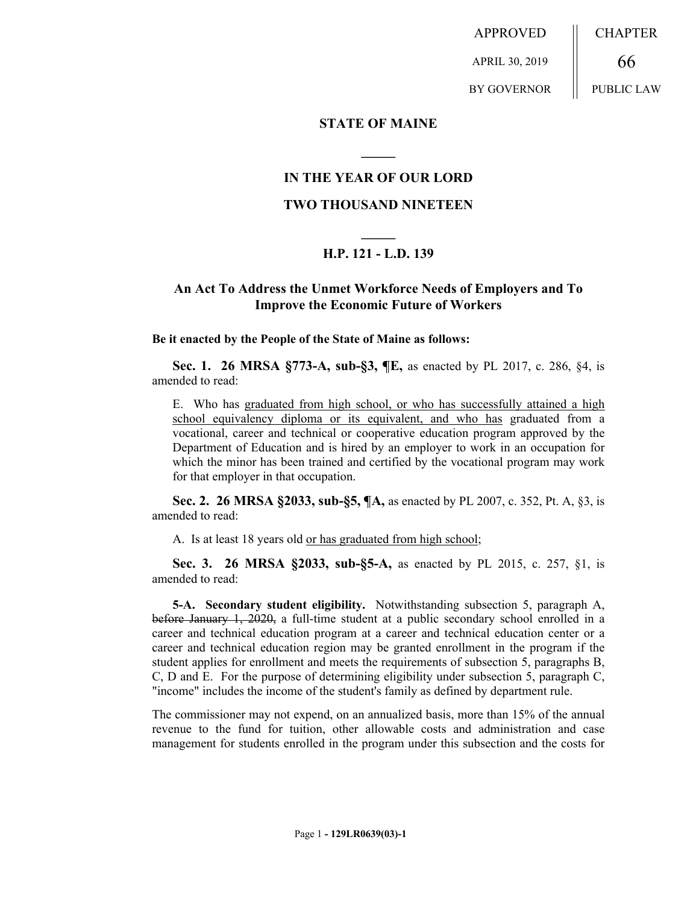APPROVED APRIL 30, 2019 BY GOVERNOR CHAPTER 66 PUBLIC LAW

**STATE OF MAINE**

## **IN THE YEAR OF OUR LORD**

**\_\_\_\_\_**

### **TWO THOUSAND NINETEEN**

# **\_\_\_\_\_ H.P. 121 - L.D. 139**

## **An Act To Address the Unmet Workforce Needs of Employers and To Improve the Economic Future of Workers**

#### **Be it enacted by the People of the State of Maine as follows:**

**Sec. 1. 26 MRSA §773-A, sub-§3, ¶E,** as enacted by PL 2017, c. 286, §4, is amended to read:

E. Who has graduated from high school, or who has successfully attained a high school equivalency diploma or its equivalent, and who has graduated from a vocational, career and technical or cooperative education program approved by the Department of Education and is hired by an employer to work in an occupation for which the minor has been trained and certified by the vocational program may work for that employer in that occupation.

**Sec. 2. 26 MRSA §2033, sub-§5, ¶A,** as enacted by PL 2007, c. 352, Pt. A, §3, is amended to read:

A. Is at least 18 years old or has graduated from high school;

**Sec. 3. 26 MRSA §2033, sub-§5-A,** as enacted by PL 2015, c. 257, §1, is amended to read:

**5-A. Secondary student eligibility.** Notwithstanding subsection 5, paragraph A, before January 1, 2020, a full-time student at a public secondary school enrolled in a career and technical education program at a career and technical education center or a career and technical education region may be granted enrollment in the program if the student applies for enrollment and meets the requirements of subsection 5, paragraphs B, C, D and E. For the purpose of determining eligibility under subsection 5, paragraph C, "income" includes the income of the student's family as defined by department rule.

The commissioner may not expend, on an annualized basis, more than 15% of the annual revenue to the fund for tuition, other allowable costs and administration and case management for students enrolled in the program under this subsection and the costs for